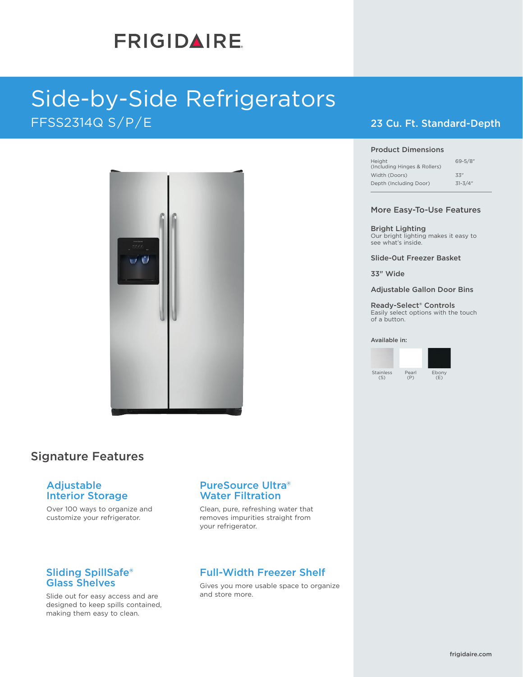# **FRIGIDAIRE**

# Side-by-Side Refrigerators FFSS2314Q S/P/E



## Signature Features

### Adjustable Interior Storage

Over 100 ways to organize and customize your refrigerator.

### Sliding SpillSafe® Glass Shelves

Slide out for easy access and are designed to keep spills contained, making them easy to clean.

### PureSource Ultra® Water Filtration

Clean, pure, refreshing water that removes impurities straight from your refrigerator.

## Full-Width Freezer Shelf

Gives you more usable space to organize and store more.

### 23 Cu. Ft. Standard-Depth

#### Product Dimensions

| $69 - 5/8$ " |
|--------------|
| 33"          |
| $31 - 3/4"$  |
|              |

#### More Easy-To-Use Features

Bright Lighting Our bright lighting makes it easy to see what's inside.

Slide-0ut Freezer Basket

33" Wide

Adjustable Gallon Door Bins

Ready-Select® Controls Easily select options with the touch of a button.

#### Available in:

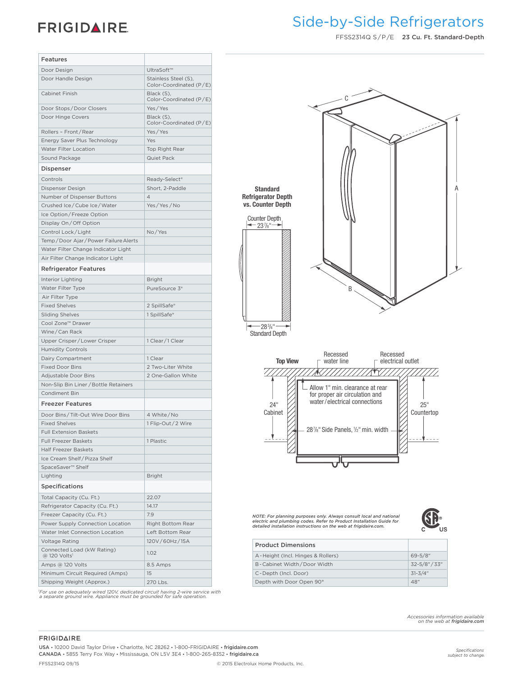## **FRIGIDAIRE**

## Side-by-Side Refrigerators **Frigidaire Baseline**

FFSS2314Q S / P /E 23 Cu. Ft. Standard-Depth

| <b>Features</b>                                        |                                                 |
|--------------------------------------------------------|-------------------------------------------------|
| Door Design                                            | UltraSoft™                                      |
| Door Handle Design                                     | Stainless Steel (S),<br>Color-Coordinated (P/E) |
| Cabinet Finish                                         | Black (S),<br>Color-Coordinated $(P/E)$         |
| Door Stops/Door Closers                                | Yes / Yes                                       |
| Door Hinge Covers                                      | Black (S),<br>Color-Coordinated $(P/E)$         |
| Rollers - Front/Rear                                   | Yes/Yes                                         |
| Energy Saver Plus Technology                           | Yes                                             |
| Water Filter Location                                  | Top Right Rear                                  |
| Sound Package                                          | Quiet Pack                                      |
| <b>Dispenser</b>                                       |                                                 |
| Controls                                               | Ready-Select®                                   |
| Dispenser Design                                       | Short, 2-Paddle                                 |
| Number of Dispenser Buttons                            | $\overline{4}$                                  |
| Crushed Ice/Cube Ice/Water                             | Yes / Yes / No                                  |
| Ice Option/Freeze Option                               |                                                 |
| Display On/Off Option                                  |                                                 |
| Control Lock/Light                                     | No/Yes                                          |
| Temp/Door Ajar/Power Failure Alerts                    |                                                 |
| Water Filter Change Indicator Light                    |                                                 |
| Air Filter Change Indicator Light                      |                                                 |
| <b>Refrigerator Features</b>                           |                                                 |
| Interior Lighting                                      | <b>Bright</b>                                   |
| Water Filter Type                                      | PureSource 3 <sup>®</sup>                       |
|                                                        |                                                 |
| Air Filter Type                                        |                                                 |
| <b>Fixed Shelves</b>                                   | 2 SpillSafe®                                    |
| <b>Sliding Shelves</b>                                 | 1 SpillSafe®                                    |
| Cool Zone <sup>™</sup> Drawer                          |                                                 |
| Wine/Can Rack                                          |                                                 |
| Upper Crisper/Lower Crisper                            | 1 Clear / 1 Clear                               |
| <b>Humidity Controls</b>                               |                                                 |
| Dairy Compartment                                      | 1 Clear                                         |
| <b>Fixed Door Bins</b>                                 | 2 Two-Liter White                               |
| Adjustable Door Bins                                   | 2 One-Gallon White                              |
| Non-Slip Bin Liner / Bottle Retainers                  |                                                 |
| Condiment Bin                                          |                                                 |
| <b>Freezer Features</b>                                |                                                 |
| Door Bins / Tilt-Out Wire Door Bins                    | 4 White/No                                      |
| <b>Fixed Shelves</b>                                   | 1 Flip-Out/2 Wire                               |
| <b>Full Extension Baskets</b>                          |                                                 |
| <b>Full Freezer Baskets</b>                            | 1 Plastic                                       |
| <b>Half Freezer Baskets</b>                            |                                                 |
| Ice Cream Shelf / Pizza Shelf                          |                                                 |
| SpaceSaver <sup>™</sup> Shelf                          |                                                 |
| Lighting                                               | <b>Bright</b>                                   |
| <b>Specifications</b>                                  |                                                 |
| Total Capacity (Cu. Ft.)                               | 22.07                                           |
| Refrigerator Capacity (Cu. Ft.)                        | 14.17                                           |
| Freezer Capacity (Cu. Ft.)                             | 7.9                                             |
| Power Supply Connection Location                       | Right Bottom Rear                               |
| Water Inlet Connection Location                        | Left Bottom Rear                                |
| <b>Voltage Rating</b>                                  | 120V/60Hz/15A                                   |
| Connected Load (kW Rating)<br>@ 120 Volts <sup>1</sup> | 1.02                                            |
| Amps @ 120 Volts                                       | 8.5 Amps                                        |
| Minimum Circuit Required (Amps)                        | 15                                              |
| Shipping Weight (Approx.)                              | 270 Lbs.                                        |
|                                                        |                                                 |

*1 For use on adequately wired 120V, dedicated circuit having 2-wire service with a separate ground wire. Appliance must be grounded for safe operation.*

|                                                                                    | U      |   |
|------------------------------------------------------------------------------------|--------|---|
| <b>Standard</b><br><b>Refrigerator Depth</b><br>vs. Counter Depth<br>Counter Depth |        | Α |
| $-28^{3}/4$ "                                                                      | N<br>B |   |

283 /4" Standard Depth



*NOTE: For planning purposes only. Always consult local and national electric and plumbing codes. Refer to Product Installation Guide for detailed installation instructions on the web at frigidaire.com.*



| <b>Product Dimensions</b>         |                   |
|-----------------------------------|-------------------|
| A-Height (Incl. Hinges & Rollers) | $69 - 5/8$ "      |
| B-Cabinet Width/Door Width        | $32 - 5/8" / 33"$ |
| C-Depth (Incl. Door)              | $31 - 3/4"$       |
| Depth with Door Open 90°          | 48"               |

*Accessories information available on the web at frigidaire.com*

#### **FRIGIDAIRE**

USA • 10200 David Taylor Drive • Charlotte, NC 28262 • 1-800-FRIGIDAIRE • frigidaire.com CANADA • 5855 Terry Fox Way • Mississauga, ON L5V 3E4 • 1-800-265-8352 • frigidaire.ca